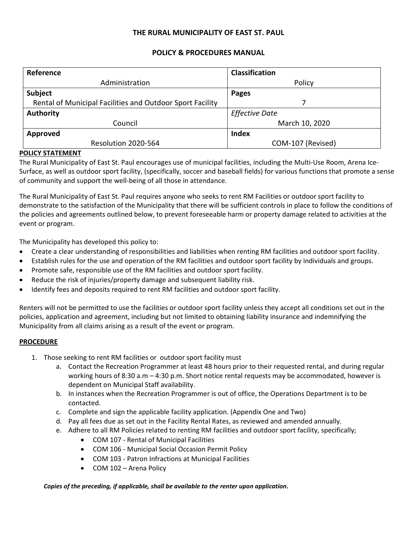#### **THE RURAL MUNICIPALITY OF EAST ST. PAUL**

#### **POLICY & PROCEDURES MANUAL**

| Reference                                                 | <b>Classification</b> |  |  |
|-----------------------------------------------------------|-----------------------|--|--|
| Administration                                            | Policy                |  |  |
| Subject                                                   | <b>Pages</b>          |  |  |
| Rental of Municipal Facilities and Outdoor Sport Facility |                       |  |  |
| <b>Authority</b>                                          | <b>Effective Date</b> |  |  |
| Council                                                   | March 10, 2020        |  |  |
| Approved                                                  | <b>Index</b>          |  |  |
| Resolution 2020-564                                       | COM-107 (Revised)     |  |  |

#### **POLICY STATEMENT**

The Rural Municipality of East St. Paul encourages use of municipal facilities, including the Multi-Use Room, Arena Ice-Surface, as well as outdoor sport facility, (specifically, soccer and baseball fields) for various functions that promote a sense of community and support the well-being of all those in attendance.

The Rural Municipality of East St. Paul requires anyone who seeks to rent RM Facilities or outdoor sport facility to demonstrate to the satisfaction of the Municipality that there will be sufficient controls in place to follow the conditions of the policies and agreements outlined below, to prevent foreseeable harm or property damage related to activities at the event or program.

The Municipality has developed this policy to:

- Create a clear understanding of responsibilities and liabilities when renting RM facilities and outdoor sport facility.
- Establish rules for the use and operation of the RM facilities and outdoor sport facility by individuals and groups.
- Promote safe, responsible use of the RM facilities and outdoor sport facility.
- Reduce the risk of injuries/property damage and subsequent liability risk.
- Identify fees and deposits required to rent RM facilities and outdoor sport facility.

Renters will not be permitted to use the facilities or outdoor sport facility unless they accept all conditions set out in the policies, application and agreement, including but not limited to obtaining liability insurance and indemnifying the Municipality from all claims arising as a result of the event or program.

#### **PROCEDURE**

- 1. Those seeking to rent RM facilities or outdoor sport facility must
	- a. Contact the Recreation Programmer at least 48 hours prior to their requested rental, and during regular working hours of 8:30 a.m – 4:30 p.m. Short notice rental requests may be accommodated, however is dependent on Municipal Staff availability.
	- b. In instances when the Recreation Programmer is out of office, the Operations Department is to be contacted.
	- c. Complete and sign the applicable facility application. (Appendix One and Two)
	- d. Pay all fees due as set out in the Facility Rental Rates, as reviewed and amended annually.
	- e. Adhere to all RM Policies related to renting RM facilities and outdoor sport facility, specifically;
		- COM 107 Rental of Municipal Facilities
		- COM 106 Municipal Social Occasion Permit Policy
		- COM 103 Patron Infractions at Municipal Facilities
		- COM 102 Arena Policy

*Copies of the preceding, if applicable, shall be available to the renter upon application***.**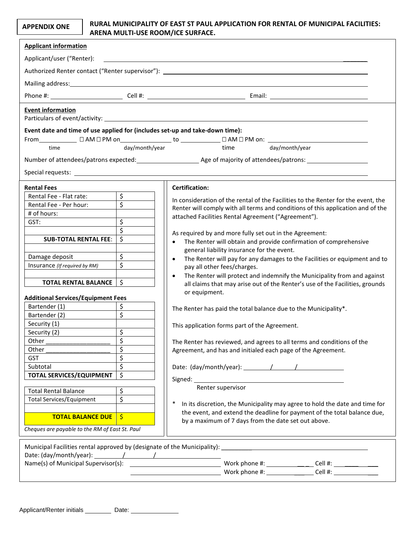#### **APPENDIX ONE**

#### **RURAL MUNICIPALITY OF EAST ST PAUL APPLICATION FOR RENTAL OF MUNICIPAL FACILITIES: ARENA MULTI-USE ROOM/ICE SURFACE.**

| <b>Applicant information</b>                                                                                                                                                                                                   |                           |                                                                                                                                                                                                                                |  |
|--------------------------------------------------------------------------------------------------------------------------------------------------------------------------------------------------------------------------------|---------------------------|--------------------------------------------------------------------------------------------------------------------------------------------------------------------------------------------------------------------------------|--|
| Applicant/user ("Renter):                                                                                                                                                                                                      |                           |                                                                                                                                                                                                                                |  |
|                                                                                                                                                                                                                                |                           | Authorized Renter contact ("Renter supervisor"): Law and the contract of the contract of the contract of the contract of the contract of the contract of the contract of the contract of the contract of the contract of the c |  |
|                                                                                                                                                                                                                                |                           |                                                                                                                                                                                                                                |  |
|                                                                                                                                                                                                                                |                           |                                                                                                                                                                                                                                |  |
| <b>Event information</b>                                                                                                                                                                                                       |                           |                                                                                                                                                                                                                                |  |
| Event date and time of use applied for (includes set-up and take-down time):<br>From_____________ □ AM □ PM on_________________ to ______________                                                                              |                           |                                                                                                                                                                                                                                |  |
| time                                                                                                                                                                                                                           | day/month/year            | time day/month/year                                                                                                                                                                                                            |  |
|                                                                                                                                                                                                                                |                           |                                                                                                                                                                                                                                |  |
| Special requests: The contract of the contract of the contract of the contract of the contract of the contract of the contract of the contract of the contract of the contract of the contract of the contract of the contract |                           |                                                                                                                                                                                                                                |  |
| <b>Rental Fees</b>                                                                                                                                                                                                             |                           | <b>Certification:</b>                                                                                                                                                                                                          |  |
| Rental Fee - Flat rate:                                                                                                                                                                                                        | $\overline{\mathfrak{s}}$ | In consideration of the rental of the Facilities to the Renter for the event, the                                                                                                                                              |  |
| Rental Fee - Per hour:                                                                                                                                                                                                         | $\zeta$                   | Renter will comply with all terms and conditions of this application and of the                                                                                                                                                |  |
| # of hours:                                                                                                                                                                                                                    |                           | attached Facilities Rental Agreement ("Agreement").                                                                                                                                                                            |  |
| GST:                                                                                                                                                                                                                           | \$                        |                                                                                                                                                                                                                                |  |
|                                                                                                                                                                                                                                | $\zeta$                   | As required by and more fully set out in the Agreement:                                                                                                                                                                        |  |
| <b>SUB-TOTAL RENTAL FEE:</b>                                                                                                                                                                                                   | $\zeta$                   | The Renter will obtain and provide confirmation of comprehensive<br>$\bullet$<br>general liability insurance for the event.                                                                                                    |  |
| Damage deposit                                                                                                                                                                                                                 | $\zeta$                   | The Renter will pay for any damages to the Facilities or equipment and to<br>$\bullet$                                                                                                                                         |  |
| Insurance (If required by RM)                                                                                                                                                                                                  | $\overline{\mathsf{S}}$   | pay all other fees/charges.                                                                                                                                                                                                    |  |
| <b>TOTAL RENTAL BALANCE</b>                                                                                                                                                                                                    | \$                        | The Renter will protect and indemnify the Municipality from and against<br>$\bullet$<br>all claims that may arise out of the Renter's use of the Facilities, grounds                                                           |  |
| <b>Additional Services/Equipment Fees</b>                                                                                                                                                                                      |                           | or equipment.                                                                                                                                                                                                                  |  |
| Bartender (1)                                                                                                                                                                                                                  | \$                        |                                                                                                                                                                                                                                |  |
| Bartender (2)                                                                                                                                                                                                                  | $\overline{\mathcal{S}}$  | The Renter has paid the total balance due to the Municipality*.                                                                                                                                                                |  |
| Security (1)                                                                                                                                                                                                                   |                           |                                                                                                                                                                                                                                |  |
| Security (2)                                                                                                                                                                                                                   | \$                        | This application forms part of the Agreement.                                                                                                                                                                                  |  |
| Other                                                                                                                                                                                                                          | $\overline{\mathbf{c}}$   | The Renter has reviewed, and agrees to all terms and conditions of the                                                                                                                                                         |  |
| Other                                                                                                                                                                                                                          | $\overline{\mathsf{S}}$   | Agreement, and has and initialed each page of the Agreement.                                                                                                                                                                   |  |
| <b>GST</b>                                                                                                                                                                                                                     | \$                        |                                                                                                                                                                                                                                |  |
| Subtotal                                                                                                                                                                                                                       | $\overline{\mathsf{S}}$   |                                                                                                                                                                                                                                |  |
| <b>TOTAL SERVICES/EQUIPMENT</b>                                                                                                                                                                                                | \$                        |                                                                                                                                                                                                                                |  |
| <b>Total Rental Balance</b>                                                                                                                                                                                                    | \$                        | Renter supervisor                                                                                                                                                                                                              |  |
| <b>Total Services/Equipment</b>                                                                                                                                                                                                | \$                        |                                                                                                                                                                                                                                |  |
|                                                                                                                                                                                                                                |                           | In its discretion, the Municipality may agree to hold the date and time for                                                                                                                                                    |  |
| <b>TOTAL BALANCE DUE</b>                                                                                                                                                                                                       | $\frac{1}{2}$             | the event, and extend the deadline for payment of the total balance due,<br>by a maximum of 7 days from the date set out above.                                                                                                |  |
| Cheques are payable to the RM of East St. Paul                                                                                                                                                                                 |                           |                                                                                                                                                                                                                                |  |
|                                                                                                                                                                                                                                |                           | Municipal Facilities rental approved by (designate of the Municipality):                                                                                                                                                       |  |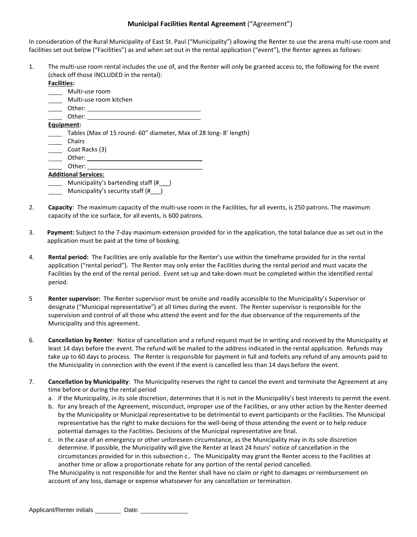#### **Municipal Facilities Rental Agreement** ("Agreement")

In consideration of the Rural Municipality of East St. Paul ("Municipality") allowing the Renter to use the arena multi-use room and facilities set out below ("Facilities") as and when set out in the rental application ("event"), the Renter agrees as follows:

1. The multi-use room rental includes the use of, and the Renter will only be granted access to, the following for the event (check off those INCLUDED in the rental):

| <b>Facilities:</b> |                                                                  |
|--------------------|------------------------------------------------------------------|
|                    | Multi-use room                                                   |
|                    | Multi-use room kitchen                                           |
|                    | Other:                                                           |
|                    | Other:                                                           |
| Equipment:         |                                                                  |
|                    | Tables (Max of 15 round- 60" diameter, Max of 28 long-8' length) |
|                    | Chairs                                                           |
|                    | Coat Racks (3)                                                   |
|                    | Other:                                                           |
|                    | Other:                                                           |
|                    | <b>Additional Services:</b>                                      |
|                    | Municipality's bartending staff (#                               |

Municipality's security staff (#\_\_\_)

- 2. **Capacity**: The maximum capacity of the multi-use room in the Facilities, for all events, is 250 patrons. The maximum capacity of the ice surface, for all events, is 600 patrons.
- 3. **Payment:** Subject to the 7-day maximum extension provided for in the application, the total balance due as set out in the application must be paid at the time of booking.
- 4. **Rental period:** The Facilities are only available for the Renter's use within the timeframe provided for in the rental application ("rental period"). The Renter may only enter the Facilities during the rental period and must vacate the Facilities by the end of the rental period. Event set-up and take-down must be completed within the identified rental period.
- 5 **Renter supervisor:** The Renter supervisor must be onsite and readily accessible to the Municipality's Supervisor or designate ("Municipal representative") at all times during the event. The Renter supervisor is responsible for the supervision and control of all those who attend the event and for the due observance of the requirements of the Municipality and this agreement.
- 6. **Cancellation by Renter**: Notice of cancellation and a refund request must be in writing and received by the Municipality at least 14 days before the event. The refund will be mailed to the address indicated in the rental application. Refunds may take up to 60 days to process. The Renter is responsible for payment in full and forfeits any refund of any amounts paid to the Municipality in connection with the event if the event is cancelled less than 14 days before the event.
- 7. **Cancellation by Municipality**: The Municipality reserves the right to cancel the event and terminate the Agreement at any time before or during the rental period
	- a. if the Municipality, in its sole discretion, determines that it is not in the Municipality's best interests to permit the event.
	- b. for any breach of the Agreement, misconduct, improper use of the Facilities, or any other action by the Renter deemed by the Municipality or Municipal representative to be detrimental to event participants or the Facilities. The Municipal representative has the right to make decisions for the well-being of those attending the event or to help reduce potential damages to the Facilities. Decisions of the Municipal representative are final.
	- c. in the case of an emergency or other unforeseen circumstance, as the Municipality may in its sole discretion determine. If possible, the Municipality will give the Renter at least 24 hours' notice of cancellation in the circumstances provided for in this subsection c.. The Municipality may grant the Renter access to the Facilities at another time or allow a proportionate rebate for any portion of the rental period cancelled.

The Municipality is not responsible for and the Renter shall have no claim or right to damages or reimbursement on account of any loss, damage or expense whatsoever for any cancellation or termination.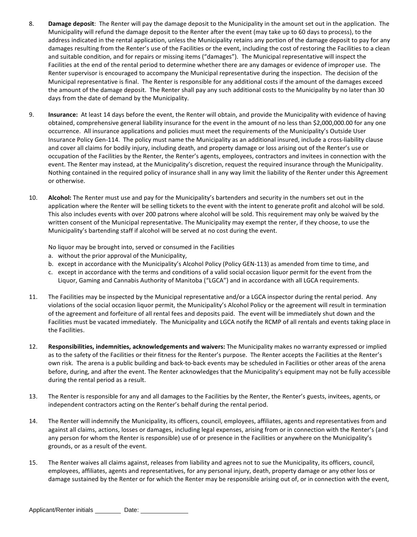- 8. **Damage deposit**: The Renter will pay the damage deposit to the Municipality in the amount set out in the application. The Municipality will refund the damage deposit to the Renter after the event (may take up to 60 days to process), to the address indicated in the rental application, unless the Municipality retains any portion of the damage deposit to pay for any damages resulting from the Renter's use of the Facilities or the event, including the cost of restoring the Facilities to a clean and suitable condition, and for repairs or missing items ("damages"). The Municipal representative will inspect the Facilities at the end of the rental period to determine whether there are any damages or evidence of improper use. The Renter supervisor is encouraged to accompany the Municipal representative during the inspection. The decision of the Municipal representative is final. The Renter is responsible for any additional costs if the amount of the damages exceed the amount of the damage deposit. The Renter shall pay any such additional costs to the Municipality by no later than 30 days from the date of demand by the Municipality.
- 9. **Insurance:** At least 14 days before the event, the Renter will obtain, and provide the Municipality with evidence of having obtained, comprehensive general liability insurance for the event in the amount of no less than \$2,000,000.00 for any one occurrence. All insurance applications and policies must meet the requirements of the Municipality's Outside User Insurance Policy Gen-114. The policy must name the Municipality as an additional insured, include a cross-liability clause and cover all claims for bodily injury, including death, and property damage or loss arising out of the Renter's use or occupation of the Facilities by the Renter, the Renter's agents, employees, contractors and invitees in connection with the event. The Renter may instead, at the Municipality's discretion, request the required insurance through the Municipality. Nothing contained in the required policy of insurance shall in any way limit the liability of the Renter under this Agreement or otherwise.
- 10. **Alcohol:** The Renter must use and pay for the Municipality's bartenders and security in the numbers set out in the application where the Renter will be selling tickets to the event with the intent to generate profit and alcohol will be sold. This also includes events with over 200 patrons where alcohol will be sold. This requirement may only be waived by the written consent of the Municipal representative. The Municipality may exempt the renter, if they choose, to use the Municipality's bartending staff if alcohol will be served at no cost during the event.

No liquor may be brought into, served or consumed in the Facilities

- a. without the prior approval of the Municipality,
- b. except in accordance with the Municipality's Alcohol Policy (Policy GEN-113) as amended from time to time, and
- c. except in accordance with the terms and conditions of a valid social occasion liquor permit for the event from the Liquor, Gaming and Cannabis Authority of Manitoba ("LGCA") and in accordance with all LGCA requirements.
- 11. The Facilities may be inspected by the Municipal representative and/or a LGCA inspector during the rental period. Any violations of the social occasion liquor permit, the Municipality's Alcohol Policy or the agreement will result in termination of the agreement and forfeiture of all rental fees and deposits paid. The event will be immediately shut down and the Facilities must be vacated immediately. The Municipality and LGCA notify the RCMP of all rentals and events taking place in the Facilities.
- 12. **Responsibilities, indemnities, acknowledgements and waivers:** The Municipality makes no warranty expressed or implied as to the safety of the Facilities or their fitness for the Renter's purpose. The Renter accepts the Facilities at the Renter's own risk. The arena is a public building and back-to-back events may be scheduled in Facilities or other areas of the arena before, during, and after the event. The Renter acknowledges that the Municipality's equipment may not be fully accessible during the rental period as a result.
- 13. The Renter is responsible for any and all damages to the Facilities by the Renter, the Renter's guests, invitees, agents, or independent contractors acting on the Renter's behalf during the rental period.
- 14. The Renter will indemnify the Municipality, its officers, council, employees, affiliates, agents and representatives from and against all claims, actions, losses or damages, including legal expenses, arising from or in connection with the Renter's (and any person for whom the Renter is responsible) use of or presence in the Facilities or anywhere on the Municipality's grounds, or as a result of the event.
- 15. The Renter waives all claims against, releases from liability and agrees not to sue the Municipality, its officers, council, employees, affiliates, agents and representatives, for any personal injury, death, property damage or any other loss or damage sustained by the Renter or for which the Renter may be responsible arising out of, or in connection with the event,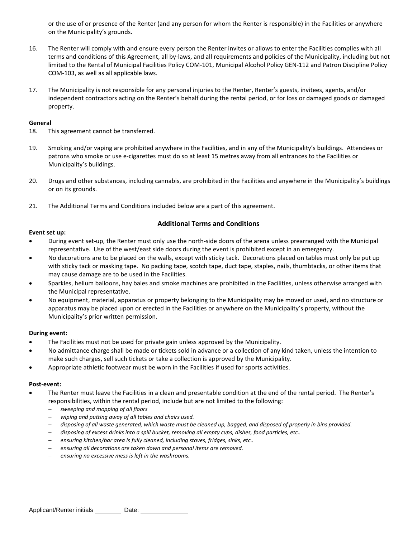or the use of or presence of the Renter (and any person for whom the Renter is responsible) in the Facilities or anywhere on the Municipality's grounds.

- 16. The Renter will comply with and ensure every person the Renter invites or allows to enter the Facilities complies with all terms and conditions of this Agreement, all by-laws, and all requirements and policies of the Municipality, including but not limited to the Rental of Municipal Facilities Policy COM-101, Municipal Alcohol Policy GEN-112 and Patron Discipline Policy COM-103, as well as all applicable laws.
- 17. The Municipality is not responsible for any personal injuries to the Renter, Renter's guests, invitees, agents, and/or independent contractors acting on the Renter's behalf during the rental period, or for loss or damaged goods or damaged property.

#### **General**

- 18. This agreement cannot be transferred.
- 19. Smoking and/or vaping are prohibited anywhere in the Facilities, and in any of the Municipality's buildings. Attendees or patrons who smoke or use e-cigarettes must do so at least 15 metres away from all entrances to the Facilities or Municipality's buildings.
- 20. Drugs and other substances, including cannabis, are prohibited in the Facilities and anywhere in the Municipality's buildings or on its grounds.
- 21. The Additional Terms and Conditions included below are a part of this agreement.

#### **Additional Terms and Conditions**

#### **Event set up:**

- During event set-up, the Renter must only use the north-side doors of the arena unless prearranged with the Municipal representative. Use of the west/east side doors during the event is prohibited except in an emergency.
- No decorations are to be placed on the walls, except with sticky tack. Decorations placed on tables must only be put up with sticky tack or masking tape. No packing tape, scotch tape, duct tape, staples, nails, thumbtacks, or other items that may cause damage are to be used in the Facilities.
- Sparkles, helium balloons, hay bales and smoke machines are prohibited in the Facilities, unless otherwise arranged with the Municipal representative.
- No equipment, material, apparatus or property belonging to the Municipality may be moved or used, and no structure or apparatus may be placed upon or erected in the Facilities or anywhere on the Municipality's property, without the Municipality's prior written permission.

#### **During event:**

- The Facilities must not be used for private gain unless approved by the Municipality.
- No admittance charge shall be made or tickets sold in advance or a collection of any kind taken, unless the intention to make such charges, sell such tickets or take a collection is approved by the Municipality.
- Appropriate athletic footwear must be worn in the Facilities if used for sports activities.

#### **Post-event:**

- The Renter must leave the Facilities in a clean and presentable condition at the end of the rental period. The Renter's responsibilities, within the rental period, include but are not limited to the following:
	- *sweeping and mopping of all floors*
	- *wiping and putting away of all tables and chairs used.*
	- *disposing of all waste generated, which waste must be cleaned up, bagged, and disposed of properly in bins provided.*
	- *disposing of excess drinks into a spill bucket, removing all empty cups, dishes, food particles, etc..*
	- *ensuring kitchen/bar area is fully cleaned, including stoves, fridges, sinks, etc..*
	- *ensuring all decorations are taken down and personal items are removed.*
	- *ensuring no excessive mess is left in the washrooms.*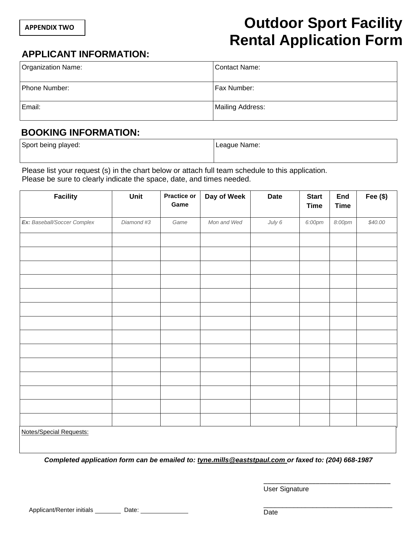# **Outdoor Sport Facility Rental Application Form**

### **APPLICANT INFORMATION:**

| <b>Organization Name:</b> | Contact Name:    |
|---------------------------|------------------|
| Phone Number:             | Fax Number:      |
| Email:                    | Mailing Address: |

### **BOOKING INFORMATION:**

| Sport being played: | League Name: |
|---------------------|--------------|
|                     |              |

Please list your request (s) in the chart below or attach full team schedule to this application. Please be sure to clearly indicate the space, date, and times needed.

| <b>Facility</b>                   | Unit           | Practice or<br>Game | Day of Week | <b>Date</b> | <b>Start</b><br><b>Time</b> | <b>End</b><br><b>Time</b> | Fee $($)$ |
|-----------------------------------|----------------|---------------------|-------------|-------------|-----------------------------|---------------------------|-----------|
| Ex: Baseball/Soccer Complex       | Diamond #3     | Game                | Mon and Wed | July 6      | 6:00pm                      | $8:00 \text{pm}$          | \$40.00   |
|                                   |                |                     |             |             |                             |                           |           |
|                                   |                |                     |             |             |                             |                           |           |
|                                   |                |                     |             |             |                             |                           |           |
|                                   |                |                     |             |             |                             |                           |           |
|                                   |                |                     |             |             |                             |                           |           |
|                                   |                |                     |             |             |                             |                           |           |
|                                   |                |                     |             |             |                             |                           |           |
|                                   |                |                     |             |             |                             |                           |           |
|                                   |                |                     |             |             |                             |                           |           |
|                                   |                |                     |             |             |                             |                           |           |
|                                   |                |                     |             |             |                             |                           |           |
|                                   |                |                     |             |             |                             |                           |           |
|                                   |                |                     |             |             |                             |                           |           |
|                                   |                |                     |             |             |                             |                           |           |
| <b>Notes/Special Requests:</b>    |                |                     |             |             |                             |                           |           |
| and the state of the state of the | $\overline{a}$ | $   -$              | $\cdots$    |             | $\sim$                      |                           |           |

*Completed application form can be emailed to: tyne.mills@eaststpaul.com or faxed to: (204) 668-1987* 

User Signature

\_\_\_\_\_\_\_\_\_\_\_\_\_\_\_\_\_\_\_\_\_\_\_\_\_\_\_\_\_\_\_\_\_\_